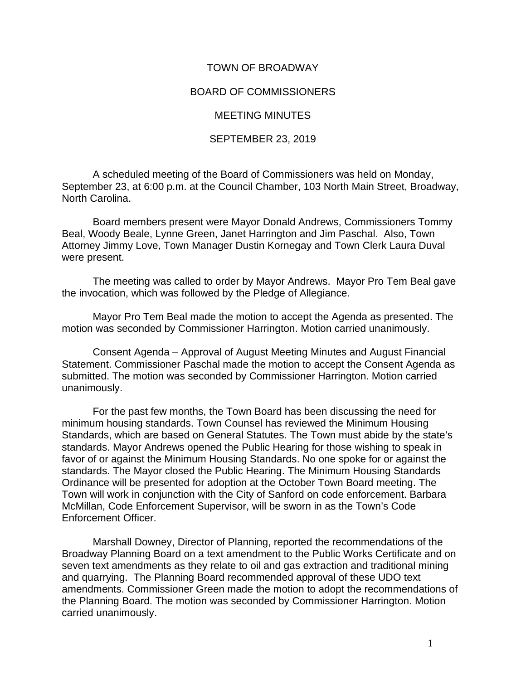## TOWN OF BROADWAY

## BOARD OF COMMISSIONERS

## MEETING MINUTES

## SEPTEMBER 23, 2019

A scheduled meeting of the Board of Commissioners was held on Monday, September 23, at 6:00 p.m. at the Council Chamber, 103 North Main Street, Broadway, North Carolina.

Board members present were Mayor Donald Andrews, Commissioners Tommy Beal, Woody Beale, Lynne Green, Janet Harrington and Jim Paschal. Also, Town Attorney Jimmy Love, Town Manager Dustin Kornegay and Town Clerk Laura Duval were present.

The meeting was called to order by Mayor Andrews. Mayor Pro Tem Beal gave the invocation, which was followed by the Pledge of Allegiance.

Mayor Pro Tem Beal made the motion to accept the Agenda as presented. The motion was seconded by Commissioner Harrington. Motion carried unanimously.

Consent Agenda – Approval of August Meeting Minutes and August Financial Statement. Commissioner Paschal made the motion to accept the Consent Agenda as submitted. The motion was seconded by Commissioner Harrington. Motion carried unanimously.

For the past few months, the Town Board has been discussing the need for minimum housing standards. Town Counsel has reviewed the Minimum Housing Standards, which are based on General Statutes. The Town must abide by the state's standards. Mayor Andrews opened the Public Hearing for those wishing to speak in favor of or against the Minimum Housing Standards. No one spoke for or against the standards. The Mayor closed the Public Hearing. The Minimum Housing Standards Ordinance will be presented for adoption at the October Town Board meeting. The Town will work in conjunction with the City of Sanford on code enforcement. Barbara McMillan, Code Enforcement Supervisor, will be sworn in as the Town's Code Enforcement Officer.

Marshall Downey, Director of Planning, reported the recommendations of the Broadway Planning Board on a text amendment to the Public Works Certificate and on seven text amendments as they relate to oil and gas extraction and traditional mining and quarrying. The Planning Board recommended approval of these UDO text amendments. Commissioner Green made the motion to adopt the recommendations of the Planning Board. The motion was seconded by Commissioner Harrington. Motion carried unanimously.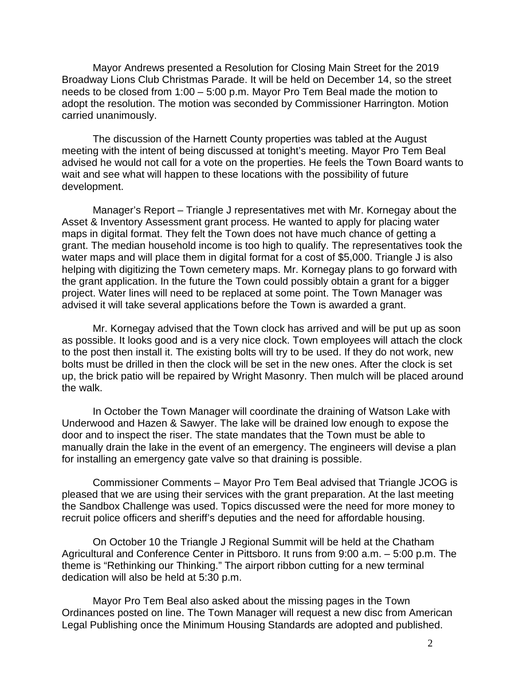Mayor Andrews presented a Resolution for Closing Main Street for the 2019 Broadway Lions Club Christmas Parade. It will be held on December 14, so the street needs to be closed from 1:00 – 5:00 p.m. Mayor Pro Tem Beal made the motion to adopt the resolution. The motion was seconded by Commissioner Harrington. Motion carried unanimously.

The discussion of the Harnett County properties was tabled at the August meeting with the intent of being discussed at tonight's meeting. Mayor Pro Tem Beal advised he would not call for a vote on the properties. He feels the Town Board wants to wait and see what will happen to these locations with the possibility of future development.

Manager's Report – Triangle J representatives met with Mr. Kornegay about the Asset & Inventory Assessment grant process. He wanted to apply for placing water maps in digital format. They felt the Town does not have much chance of getting a grant. The median household income is too high to qualify. The representatives took the water maps and will place them in digital format for a cost of \$5,000. Triangle J is also helping with digitizing the Town cemetery maps. Mr. Kornegay plans to go forward with the grant application. In the future the Town could possibly obtain a grant for a bigger project. Water lines will need to be replaced at some point. The Town Manager was advised it will take several applications before the Town is awarded a grant.

Mr. Kornegay advised that the Town clock has arrived and will be put up as soon as possible. It looks good and is a very nice clock. Town employees will attach the clock to the post then install it. The existing bolts will try to be used. If they do not work, new bolts must be drilled in then the clock will be set in the new ones. After the clock is set up, the brick patio will be repaired by Wright Masonry. Then mulch will be placed around the walk.

In October the Town Manager will coordinate the draining of Watson Lake with Underwood and Hazen & Sawyer. The lake will be drained low enough to expose the door and to inspect the riser. The state mandates that the Town must be able to manually drain the lake in the event of an emergency. The engineers will devise a plan for installing an emergency gate valve so that draining is possible.

Commissioner Comments – Mayor Pro Tem Beal advised that Triangle JCOG is pleased that we are using their services with the grant preparation. At the last meeting the Sandbox Challenge was used. Topics discussed were the need for more money to recruit police officers and sheriff's deputies and the need for affordable housing.

On October 10 the Triangle J Regional Summit will be held at the Chatham Agricultural and Conference Center in Pittsboro. It runs from 9:00 a.m. – 5:00 p.m. The theme is "Rethinking our Thinking." The airport ribbon cutting for a new terminal dedication will also be held at 5:30 p.m.

Mayor Pro Tem Beal also asked about the missing pages in the Town Ordinances posted on line. The Town Manager will request a new disc from American Legal Publishing once the Minimum Housing Standards are adopted and published.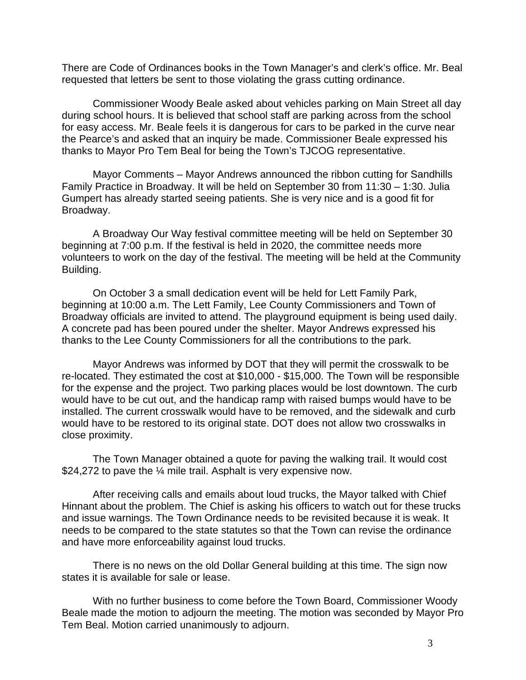There are Code of Ordinances books in the Town Manager's and clerk's office. Mr. Beal requested that letters be sent to those violating the grass cutting ordinance.

Commissioner Woody Beale asked about vehicles parking on Main Street all day during school hours. It is believed that school staff are parking across from the school for easy access. Mr. Beale feels it is dangerous for cars to be parked in the curve near the Pearce's and asked that an inquiry be made. Commissioner Beale expressed his thanks to Mayor Pro Tem Beal for being the Town's TJCOG representative.

Mayor Comments – Mayor Andrews announced the ribbon cutting for Sandhills Family Practice in Broadway. It will be held on September 30 from 11:30 – 1:30. Julia Gumpert has already started seeing patients. She is very nice and is a good fit for Broadway.

A Broadway Our Way festival committee meeting will be held on September 30 beginning at 7:00 p.m. If the festival is held in 2020, the committee needs more volunteers to work on the day of the festival. The meeting will be held at the Community Building.

On October 3 a small dedication event will be held for Lett Family Park, beginning at 10:00 a.m. The Lett Family, Lee County Commissioners and Town of Broadway officials are invited to attend. The playground equipment is being used daily. A concrete pad has been poured under the shelter. Mayor Andrews expressed his thanks to the Lee County Commissioners for all the contributions to the park.

Mayor Andrews was informed by DOT that they will permit the crosswalk to be re-located. They estimated the cost at \$10,000 - \$15,000. The Town will be responsible for the expense and the project. Two parking places would be lost downtown. The curb would have to be cut out, and the handicap ramp with raised bumps would have to be installed. The current crosswalk would have to be removed, and the sidewalk and curb would have to be restored to its original state. DOT does not allow two crosswalks in close proximity.

The Town Manager obtained a quote for paving the walking trail. It would cost \$24,272 to pave the ¼ mile trail. Asphalt is very expensive now.

After receiving calls and emails about loud trucks, the Mayor talked with Chief Hinnant about the problem. The Chief is asking his officers to watch out for these trucks and issue warnings. The Town Ordinance needs to be revisited because it is weak. It needs to be compared to the state statutes so that the Town can revise the ordinance and have more enforceability against loud trucks.

There is no news on the old Dollar General building at this time. The sign now states it is available for sale or lease.

With no further business to come before the Town Board, Commissioner Woody Beale made the motion to adjourn the meeting. The motion was seconded by Mayor Pro Tem Beal. Motion carried unanimously to adjourn.